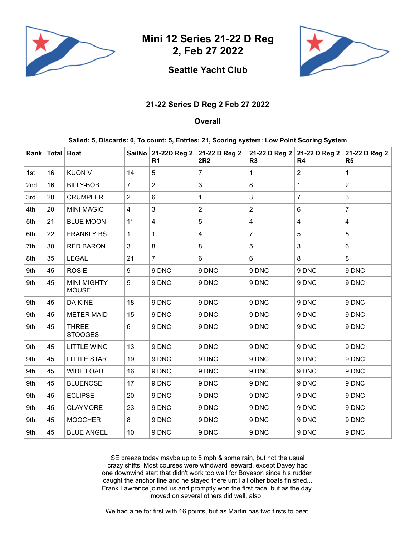

**Mini 12 Series 21-22 D Reg 2, Feb 27 2022**

## **Seattle Yacht Club**

## **21-22 Series D Reg 2 Feb 27 2022**

## **Overall**

**Sailed: 5, Discards: 0, To count: 5, Entries: 21, Scoring system: Low Point Scoring System**

|     | Rank   Total   Boat |                                    |                | SailNo 21-22D Reg 2<br>R <sub>1</sub> | 21-22 D Reg 2<br><b>2R2</b> | 21-22 D Reg 2<br>R <sub>3</sub> | 21-22 D Reg 2<br>R <sub>4</sub> | 21-22 D Reg 2<br>R <sub>5</sub> |
|-----|---------------------|------------------------------------|----------------|---------------------------------------|-----------------------------|---------------------------------|---------------------------------|---------------------------------|
| 1st | 16                  | <b>KUON V</b>                      | 14             | 5                                     | $\overline{7}$              | $\mathbf 1$                     | $\overline{2}$                  | 1                               |
| 2nd | 16                  | <b>BILLY-BOB</b>                   | $\overline{7}$ | $\overline{2}$                        | 3                           | 8                               | $\mathbf{1}$                    | $\overline{2}$                  |
| 3rd | 20                  | <b>CRUMPLER</b>                    | $\overline{2}$ | 6                                     | $\mathbf 1$                 | 3                               | $\overline{7}$                  | $\mathbf{3}$                    |
| 4th | 20                  | <b>MINI MAGIC</b>                  | $\overline{4}$ | 3                                     | $\overline{2}$              | $\overline{2}$                  | 6                               | $\overline{7}$                  |
| 5th | 21                  | <b>BLUE MOON</b>                   | 11             | 4                                     | 5                           | 4                               | $\overline{\mathbf{4}}$         | $\overline{\mathbf{4}}$         |
| 6th | 22                  | <b>FRANKLY BS</b>                  | 1              | 1                                     | 4                           | $\overline{7}$                  | $\overline{5}$                  | $5\phantom{.0}$                 |
| 7th | 30                  | <b>RED BARON</b>                   | $\mathfrak{Z}$ | 8                                     | 8                           | 5                               | 3                               | 6                               |
| 8th | 35                  | <b>LEGAL</b>                       | 21             | $\overline{7}$                        | 6                           | 6                               | 8                               | 8                               |
| 9th | 45                  | <b>ROSIE</b>                       | 9              | 9 DNC                                 | 9 DNC                       | 9 DNC                           | 9 DNC                           | 9 DNC                           |
| 9th | 45                  | <b>MINI MIGHTY</b><br><b>MOUSE</b> | 5              | 9 DNC                                 | 9 DNC                       | 9 DNC                           | 9 DNC                           | 9 DNC                           |
| 9th | 45                  | <b>DA KINE</b>                     | 18             | 9 DNC                                 | 9 DNC                       | 9 DNC                           | 9 DNC                           | 9 DNC                           |
| 9th | 45                  | <b>METER MAID</b>                  | 15             | 9 DNC                                 | 9 DNC                       | 9 DNC                           | 9 DNC                           | 9 DNC                           |
| 9th | 45                  | <b>THREE</b><br><b>STOOGES</b>     | $6\,$          | 9 DNC                                 | 9 DNC                       | 9 DNC                           | 9 DNC                           | 9 DNC                           |
| 9th | 45                  | <b>LITTLE WING</b>                 | 13             | 9 DNC                                 | 9 DNC                       | 9 DNC                           | 9 DNC                           | 9 DNC                           |
| 9th | 45                  | <b>LITTLE STAR</b>                 | 19             | 9 DNC                                 | 9 DNC                       | 9 DNC                           | 9 DNC                           | 9 DNC                           |
| 9th | 45                  | <b>WIDE LOAD</b>                   | 16             | 9 DNC                                 | 9 DNC                       | 9 DNC                           | 9 DNC                           | 9 DNC                           |
| 9th | 45                  | <b>BLUENOSE</b>                    | 17             | 9 DNC                                 | 9 DNC                       | 9 DNC                           | 9 DNC                           | 9 DNC                           |
| 9th | 45                  | <b>ECLIPSE</b>                     | 20             | 9 DNC                                 | 9 DNC                       | 9 DNC                           | 9 DNC                           | 9 DNC                           |
| 9th | 45                  | <b>CLAYMORE</b>                    | 23             | 9 DNC                                 | 9 DNC                       | 9 DNC                           | 9 DNC                           | 9 DNC                           |
| 9th | 45                  | <b>MOOCHER</b>                     | 8              | 9 DNC                                 | 9 DNC                       | 9 DNC                           | 9 DNC                           | 9 DNC                           |
| 9th | 45                  | <b>BLUE ANGEL</b>                  | 10             | 9 DNC                                 | 9 DNC                       | 9 DNC                           | 9 DNC                           | 9 DNC                           |

SE breeze today maybe up to 5 mph & some rain, but not the usual crazy shifts. Most courses were windward leeward, except Davey had one downwind start that didn't work too well for Boyeson since his rudder caught the anchor line and he stayed there until all other boats finished... Frank Lawrence joined us and promptly won the first race, but as the day moved on several others did well, also.

We had a tie for first with 16 points, but as Martin has two firsts to beat